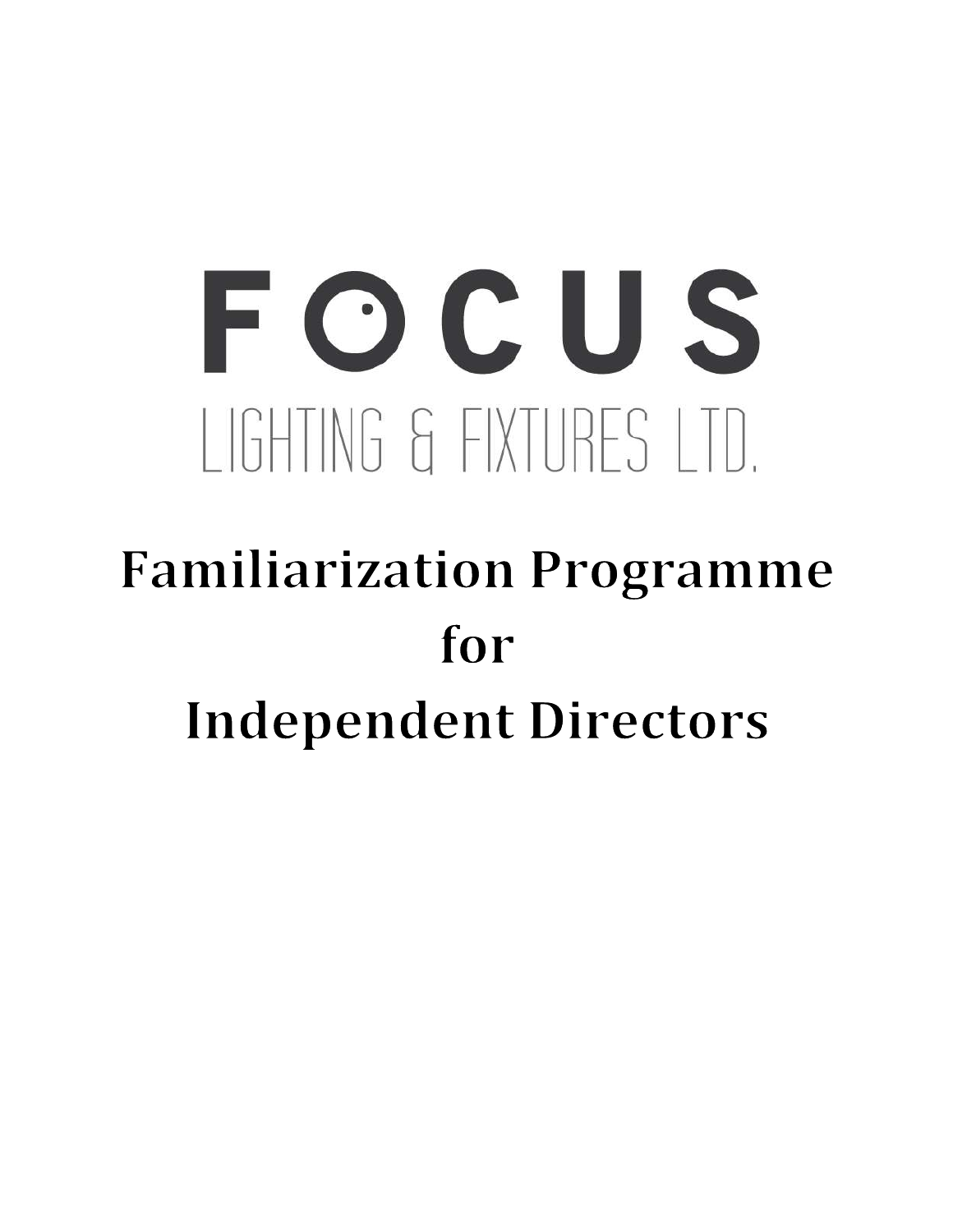# FOCUS LIGHTING & FIXTURES LTD.

## **Familiarization Programme** for **Independent Directors**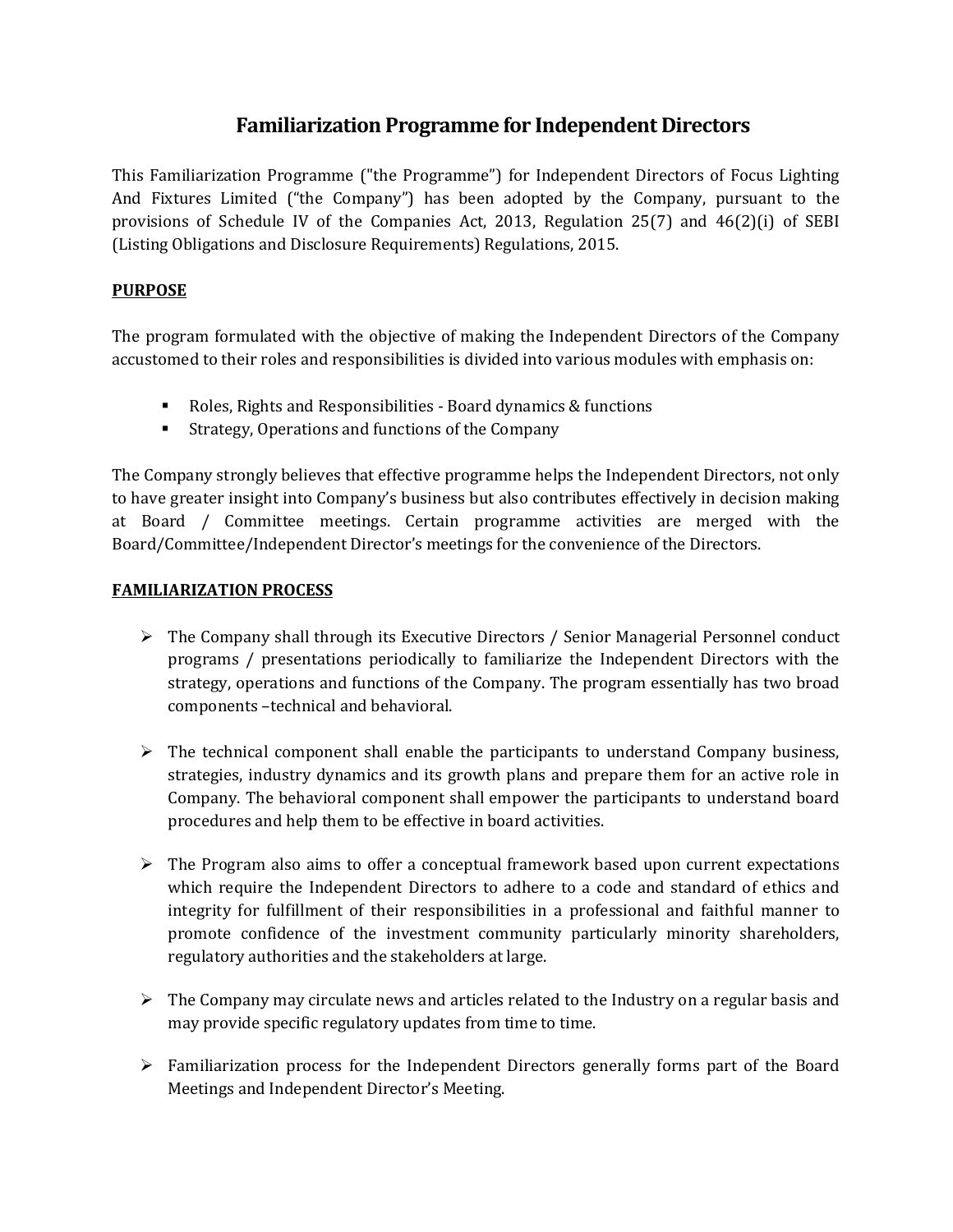### Familiarization Programme for Independent Directors

This Familiarization Programme ("the Programme") for Independent Directors of Focus Lighting And Fixtures Limited ("the Company") has been adopted by the Company, pursuant to the provisions of Schedule IV of the Companies Act, 2013, Regulation 25(7) and 46(2)(i) of SEBI (Listing Obligations and Disclosure Requirements) Regulations, 2015.

#### **PURPOSE**

The program formulated with the objective of making the Independent Directors of the Company accustomed to their roles and responsibilities is divided into various modules with emphasis on:

- Roles, Rights and Responsibilities Board dynamics & functions
- **EXTERGY, Operations and functions of the Company**

The Company strongly believes that effective programme helps the Independent Directors, not only to have greater insight into Company's business but also contributes effectively in decision making at Board / Committee meetings. Certain programme activities are merged with the Board/Committee/Independent Director's meetings for the convenience of the Directors.

#### FAMILIARIZATION PROCESS

- $\triangleright$  The Company shall through its Executive Directors / Senior Managerial Personnel conduct programs / presentations periodically to familiarize the Independent Directors with the strategy, operations and functions of the Company. The program essentially has two broad components –technical and behavioral.
- $\triangleright$  The technical component shall enable the participants to understand Company business, strategies, industry dynamics and its growth plans and prepare them for an active role in Company. The behavioral component shall empower the participants to understand board procedures and help them to be effective in board activities.
- $\triangleright$  The Program also aims to offer a conceptual framework based upon current expectations which require the Independent Directors to adhere to a code and standard of ethics and integrity for fulfillment of their responsibilities in a professional and faithful manner to promote confidence of the investment community particularly minority shareholders, regulatory authorities and the stakeholders at large.
- $\triangleright$  The Company may circulate news and articles related to the Industry on a regular basis and may provide specific regulatory updates from time to time.
- $\triangleright$  Familiarization process for the Independent Directors generally forms part of the Board Meetings and Independent Director's Meeting.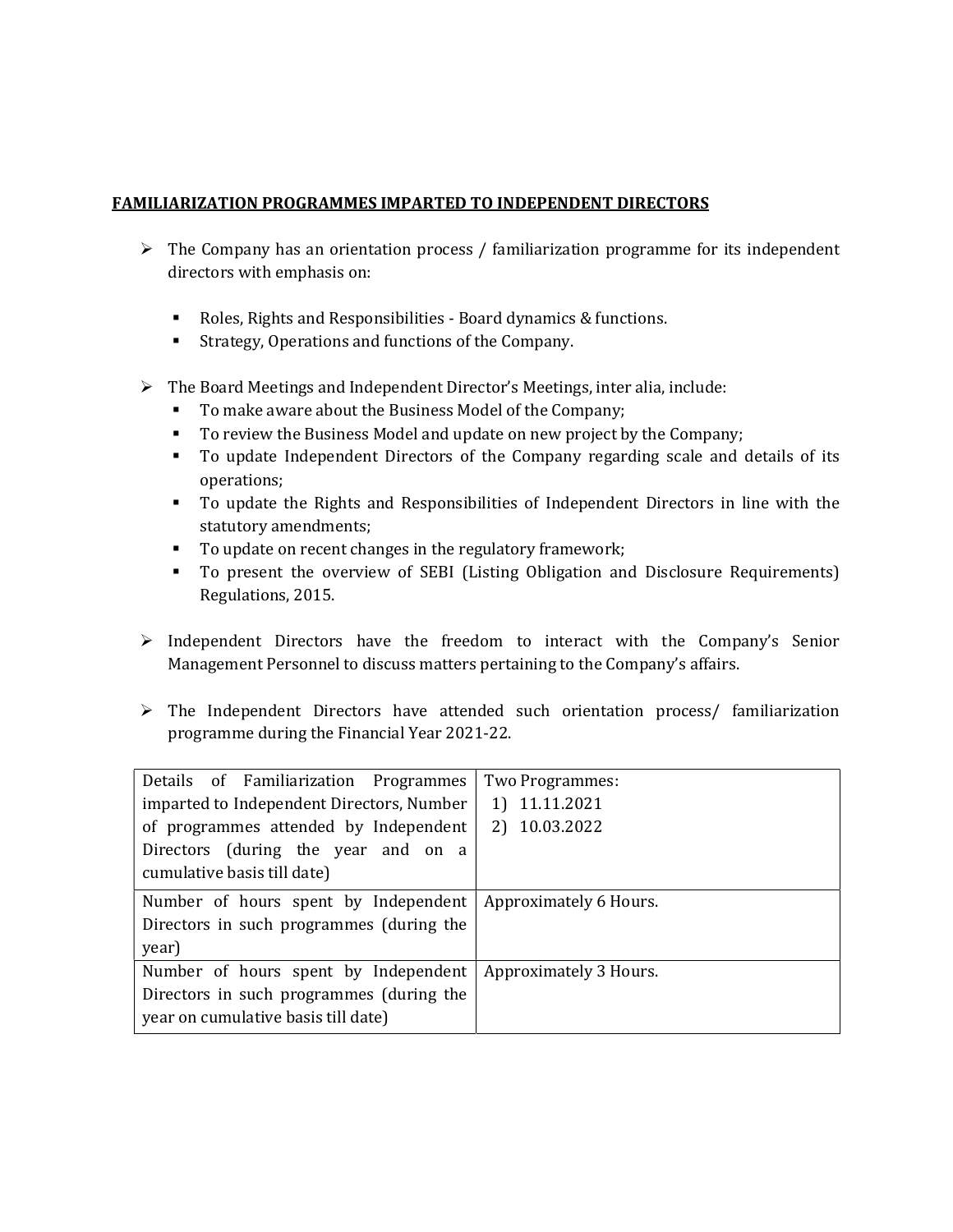#### FAMILIARIZATION PROGRAMMES IMPARTED TO INDEPENDENT DIRECTORS

- $\triangleright$  The Company has an orientation process / familiarization programme for its independent directors with emphasis on:
	- Roles, Rights and Responsibilities Board dynamics & functions.
	- Strategy, Operations and functions of the Company.
- $\triangleright$  The Board Meetings and Independent Director's Meetings, inter alia, include:
	- To make aware about the Business Model of the Company;
	- To review the Business Model and update on new project by the Company;
	- To update Independent Directors of the Company regarding scale and details of its operations;
	- To update the Rights and Responsibilities of Independent Directors in line with the statutory amendments;
	- To update on recent changes in the regulatory framework;
	- To present the overview of SEBI (Listing Obligation and Disclosure Requirements) Regulations, 2015.
- $\triangleright$  Independent Directors have the freedom to interact with the Company's Senior Management Personnel to discuss matters pertaining to the Company's affairs.
- The Independent Directors have attended such orientation process/ familiarization programme during the Financial Year 2021-22.

| Details of Familiarization Programmes                                                                                                                    | Two Programmes:                |
|----------------------------------------------------------------------------------------------------------------------------------------------------------|--------------------------------|
| imparted to Independent Directors, Number<br>of programmes attended by Independent<br>Directors (during the year and on a<br>cumulative basis till date) | 1) 11.11.2021<br>2) 10.03.2022 |
| Number of hours spent by Independent<br>Directors in such programmes (during the<br>year)                                                                | Approximately 6 Hours.         |
| Number of hours spent by Independent                                                                                                                     | Approximately 3 Hours.         |
| Directors in such programmes (during the<br>year on cumulative basis till date)                                                                          |                                |